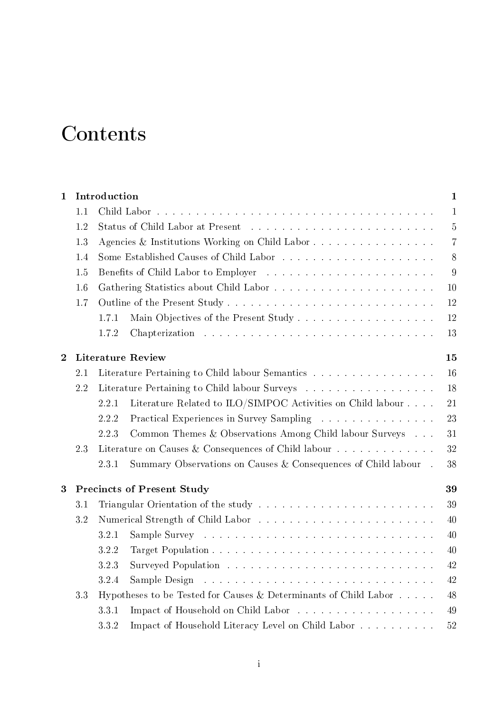## **Contents**

| $\mathbf{1}$ |                                         | Introduction                                   |                                                                  | $\mathbf{1}$ |  |  |  |
|--------------|-----------------------------------------|------------------------------------------------|------------------------------------------------------------------|--------------|--|--|--|
|              | 1.1                                     |                                                |                                                                  | $\mathbf{1}$ |  |  |  |
|              | 1.2                                     |                                                |                                                                  |              |  |  |  |
|              | 1.3                                     | Agencies & Institutions Working on Child Labor |                                                                  |              |  |  |  |
|              | 1.4                                     |                                                |                                                                  |              |  |  |  |
|              | 1.5                                     |                                                |                                                                  |              |  |  |  |
|              | 1.6                                     |                                                |                                                                  |              |  |  |  |
|              | 1.7                                     |                                                |                                                                  | 12           |  |  |  |
|              |                                         | 1.7.1                                          | Main Objectives of the Present Study                             | 12           |  |  |  |
|              |                                         | 1.7.2                                          |                                                                  | 13           |  |  |  |
| $\bf{2}$     |                                         | <b>Literature Review</b><br>15                 |                                                                  |              |  |  |  |
|              | 2.1                                     |                                                | Literature Pertaining to Child labour Semantics                  | 16           |  |  |  |
|              | 2.2                                     |                                                | Literature Pertaining to Child labour Surveys                    | 18           |  |  |  |
|              |                                         | 2.2.1                                          | Literature Related to ILO/SIMPOC Activities on Child labour      | 21           |  |  |  |
|              |                                         | 2.2.2                                          | Practical Experiences in Survey Sampling                         | 23           |  |  |  |
|              |                                         | 2.2.3                                          | Common Themes & Observations Among Child labour Surveys          | 31           |  |  |  |
|              | 2.3                                     |                                                | Literature on Causes & Consequences of Child labour              | 32           |  |  |  |
|              |                                         | 2.3.1                                          | Summary Observations on Causes & Consequences of Child labour.   | 38           |  |  |  |
| 3            | <b>Precincts of Present Study</b><br>39 |                                                |                                                                  |              |  |  |  |
|              | 3.1                                     |                                                |                                                                  | 39           |  |  |  |
|              | 3.2                                     |                                                |                                                                  | 40           |  |  |  |
|              |                                         | 3.2.1                                          |                                                                  | 40           |  |  |  |
|              |                                         | 3.2.2                                          |                                                                  | 40           |  |  |  |
|              |                                         | 3.2.3                                          |                                                                  | 42           |  |  |  |
|              |                                         | 3.2.4                                          |                                                                  | 42           |  |  |  |
|              | 3.3                                     |                                                | Hypotheses to be Tested for Causes & Determinants of Child Labor | 48           |  |  |  |
|              |                                         | 3.3.1                                          |                                                                  | 49           |  |  |  |
|              |                                         | 3.3.2                                          | Impact of Household Literacy Level on Child Labor                | 52           |  |  |  |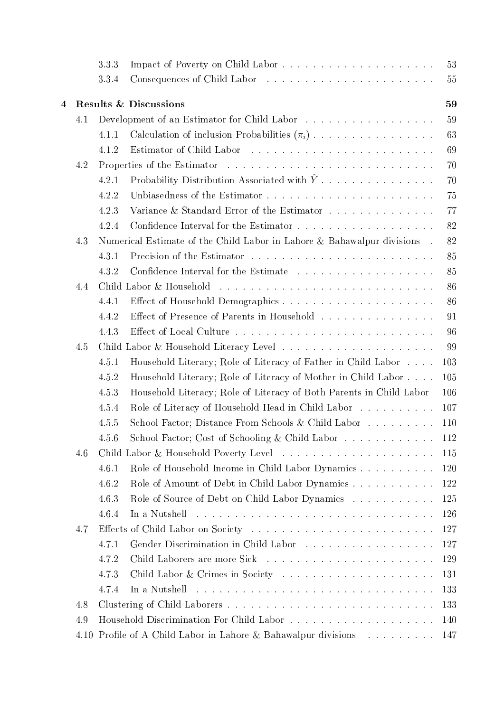|   |      | 3.3.3 |                                                                         | 53      |
|---|------|-------|-------------------------------------------------------------------------|---------|
|   |      | 3.3.4 |                                                                         | 55      |
| 4 |      |       | <b>Results &amp; Discussions</b>                                        | 59      |
|   | 4.1  |       | Development of an Estimator for Child Labor                             | 59      |
|   |      | 4.1.1 | Calculation of inclusion Probabilities $(\pi_i)$                        | 63      |
|   |      | 4.1.2 |                                                                         | 69      |
|   | 4.2  |       |                                                                         | 70      |
|   |      | 4.2.1 | Probability Distribution Associated with $\hat{Y}$                      | 70      |
|   |      | 4.2.2 |                                                                         | 75      |
|   |      | 4.2.3 | Variance & Standard Error of the Estimator                              | 77      |
|   |      | 4.2.4 |                                                                         | 82      |
|   | 4.3  |       | Numerical Estimate of the Child Labor in Lahore & Bahawalpur divisions. | 82      |
|   |      | 4.3.1 |                                                                         | 85      |
|   |      | 4.3.2 |                                                                         | 85      |
|   | 4.4  |       |                                                                         | 86      |
|   |      | 4.4.1 |                                                                         | 86      |
|   |      | 4.4.2 | Effect of Presence of Parents in Household                              | 91      |
|   |      | 4.4.3 |                                                                         | 96      |
|   | 4.5  |       |                                                                         | 99      |
|   |      | 4.5.1 | Household Literacy; Role of Literacy of Father in Child Labor           | $103\,$ |
|   |      | 4.5.2 | Household Literacy; Role of Literacy of Mother in Child Labor           | 105     |
|   |      | 4.5.3 | Household Literacy; Role of Literacy of Both Parents in Child Labor     | 106     |
|   |      | 4.5.4 | Role of Literacy of Household Head in Child Labor                       | 107     |
|   |      | 4.5.5 | School Factor; Distance From Schools & Child Labor                      | 110     |
|   |      | 4.5.6 | School Factor; Cost of Schooling & Child Labor                          | 112     |
|   | 4.6  |       |                                                                         | 115     |
|   |      | 4.6.1 | Role of Household Income in Child Labor Dynamics                        | 120     |
|   |      | 4.6.2 | Role of Amount of Debt in Child Labor Dynamics                          | 122     |
|   |      | 4.6.3 | Role of Source of Debt on Child Labor Dynamics                          | 125     |
|   |      | 4.6.4 | In a Nutshell                                                           | 126     |
|   | 4.7  |       |                                                                         | 127     |
|   |      | 4.7.1 | Gender Discrimination in Child Labor                                    | 127     |
|   |      | 4.7.2 |                                                                         | 129     |
|   |      | 4.7.3 |                                                                         | 131     |
|   |      | 4.7.4 | In a Nutshell                                                           | 133     |
|   | 4.8  |       |                                                                         | 133     |
|   | 4.9  |       |                                                                         | 140     |
|   | 4.10 |       | Profile of A Child Labor in Lahore & Bahawalpur divisions               | 147     |